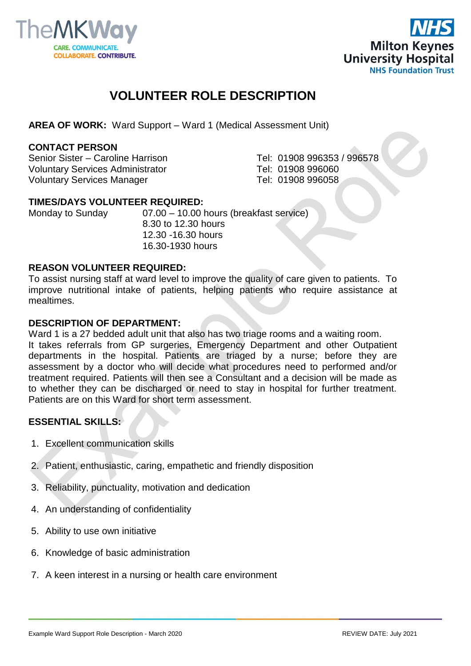



## **VOLUNTEER ROLE DESCRIPTION**

**AREA OF WORK:** Ward Support – Ward 1 (Medical Assessment Unit)

#### **CONTACT PERSON**

Senior Sister – Caroline Harrison Tel: 01908 996353 / 996578 Voluntary Services Administrator Tel: 01908 996060 Voluntary Services Manager Tel: 01908 996058

#### **TIMES/DAYS VOLUNTEER REQUIRED:**

Monday to Sunday 07.00 – 10.00 hours (breakfast service) 8.30 to 12.30 hours 12.30 -16.30 hours 16.30-1930 hours

#### **REASON VOLUNTEER REQUIRED:**

To assist nursing staff at ward level to improve the quality of care given to patients. To improve nutritional intake of patients, helping patients who require assistance at mealtimes.

#### **DESCRIPTION OF DEPARTMENT:**

Ward 1 is a 27 bedded adult unit that also has two triage rooms and a waiting room. It takes referrals from GP surgeries, Emergency Department and other Outpatient departments in the hospital. Patients are triaged by a nurse; before they are assessment by a doctor who will decide what procedures need to performed and/or treatment required. Patients will then see a Consultant and a decision will be made as to whether they can be discharged or need to stay in hospital for further treatment. Patients are on this Ward for short term assessment.

## **ESSENTIAL SKILLS:**

- 1. Excellent communication skills
- 2. Patient, enthusiastic, caring, empathetic and friendly disposition
- 3. Reliability, punctuality, motivation and dedication
- 4. An understanding of confidentiality
- 5. Ability to use own initiative
- 6. Knowledge of basic administration
- 7. A keen interest in a nursing or health care environment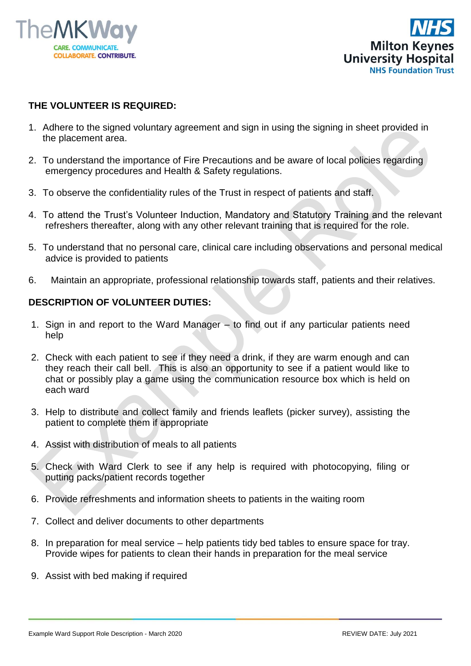



## **THE VOLUNTEER IS REQUIRED:**

- 1. Adhere to the signed voluntary agreement and sign in using the signing in sheet provided in the placement area.
- 2. To understand the importance of Fire Precautions and be aware of local policies regarding emergency procedures and Health & Safety regulations.
- 3. To observe the confidentiality rules of the Trust in respect of patients and staff.
- 4. To attend the Trust's Volunteer Induction, Mandatory and Statutory Training and the relevant refreshers thereafter, along with any other relevant training that is required for the role.
- 5. To understand that no personal care, clinical care including observations and personal medical advice is provided to patients
- 6. Maintain an appropriate, professional relationship towards staff, patients and their relatives.

### **DESCRIPTION OF VOLUNTEER DUTIES:**

- 1. Sign in and report to the Ward Manager to find out if any particular patients need help
- 2. Check with each patient to see if they need a drink, if they are warm enough and can they reach their call bell. This is also an opportunity to see if a patient would like to chat or possibly play a game using the communication resource box which is held on each ward
- 3. Help to distribute and collect family and friends leaflets (picker survey), assisting the patient to complete them if appropriate
- 4. Assist with distribution of meals to all patients
- 5. Check with Ward Clerk to see if any help is required with photocopying, filing or putting packs/patient records together
- 6. Provide refreshments and information sheets to patients in the waiting room
- 7. Collect and deliver documents to other departments
- 8. In preparation for meal service help patients tidy bed tables to ensure space for tray. Provide wipes for patients to clean their hands in preparation for the meal service
- 9. Assist with bed making if required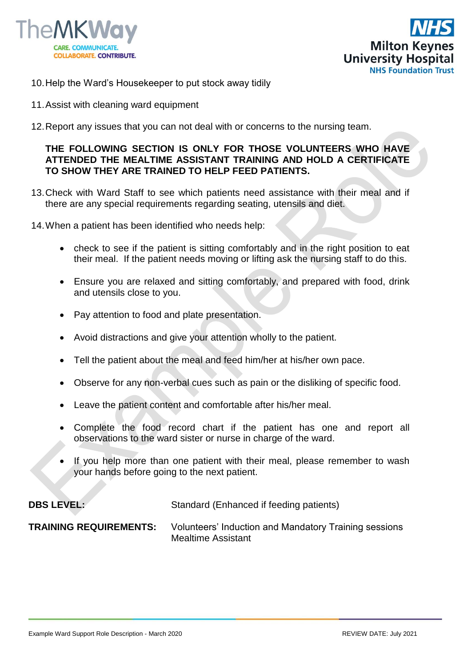



- 10.Help the Ward's Housekeeper to put stock away tidily
- 11.Assist with cleaning ward equipment
- 12.Report any issues that you can not deal with or concerns to the nursing team.

## **THE FOLLOWING SECTION IS ONLY FOR THOSE VOLUNTEERS WHO HAVE ATTENDED THE MEALTIME ASSISTANT TRAINING AND HOLD A CERTIFICATE TO SHOW THEY ARE TRAINED TO HELP FEED PATIENTS.**

- 13.Check with Ward Staff to see which patients need assistance with their meal and if there are any special requirements regarding seating, utensils and diet.
- 14.When a patient has been identified who needs help:
	- check to see if the patient is sitting comfortably and in the right position to eat their meal. If the patient needs moving or lifting ask the nursing staff to do this.
	- Ensure you are relaxed and sitting comfortably, and prepared with food, drink and utensils close to you.
	- Pay attention to food and plate presentation.
	- Avoid distractions and give your attention wholly to the patient.
	- Tell the patient about the meal and feed him/her at his/her own pace.
	- Observe for any non-verbal cues such as pain or the disliking of specific food.
	- Leave the patient content and comfortable after his/her meal.
	- Complete the food record chart if the patient has one and report all observations to the ward sister or nurse in charge of the ward.
	- If you help more than one patient with their meal, please remember to wash your hands before going to the next patient.

**DBS LEVEL:** Standard (Enhanced if feeding patients)

**TRAINING REQUIREMENTS:** Volunteers' Induction and Mandatory Training sessions Mealtime Assistant